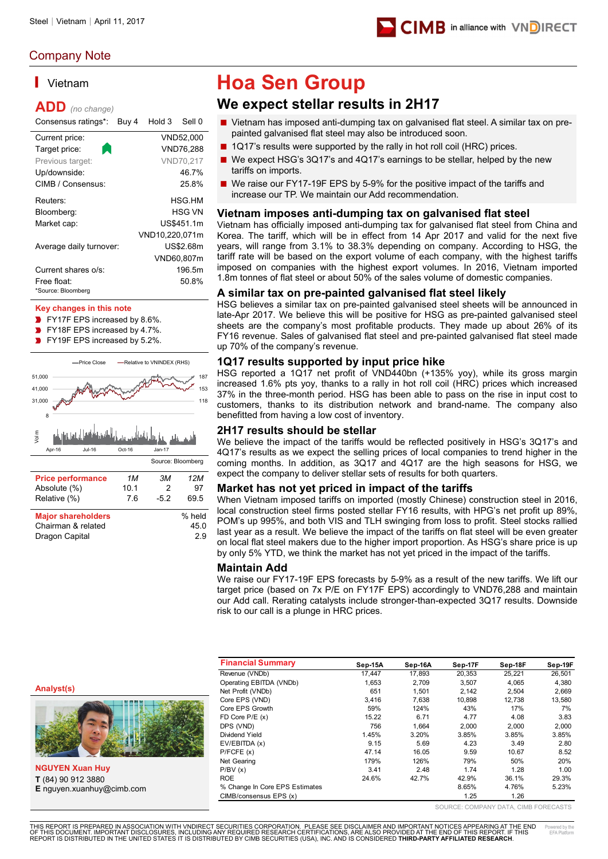# Company Note

## ▎Vietnam

**ADD** *(no change)*

| Consensus ratings*:     | Buy 4 | Hold 3         | Sell 0           |
|-------------------------|-------|----------------|------------------|
| Current price:          |       |                | VND52,000        |
| Target price:           |       |                | VND76.288        |
| Previous target:        |       |                | <b>VND70.217</b> |
| Up/downside:            |       |                | 46.7%            |
| CIMB / Consensus:       |       |                | 25.8%            |
| Reuters:                |       |                | HSG.HM           |
| Bloomberg:              |       |                | HSG VN           |
| Market cap:             |       |                | US\$451.1m       |
|                         |       | VND10,220,071m |                  |
| Average daily turnover: |       |                | US\$2.68m        |
|                         |       |                | VND60,807m       |
| Current shares o/s:     |       |                | 196.5m           |
| Free float:             |       |                | 50.8%            |
| *Source: Bloomberg      |       |                |                  |

#### **Key changes in this note**

- FY17F EPS increased by 8.6%.
- **FY18F EPS increased by 4.7%.**
- **FY19F EPS increased by 5.2%.**



| <b>Major shareholders</b> | % held |
|---------------------------|--------|
| Chairman & related        | 45.0   |
| Dragon Capital            | 2.9    |

# **Hoa Sen Group**

# **We expect stellar results in 2H17**

■ Vietnam has imposed anti-dumping tax on galvanised flat steel. A similar tax on prepainted galvanised flat steel may also be introduced soon.

**CIMB** in alliance with VNDIRECT

- 1Q17's results were supported by the rally in hot roll coil (HRC) prices.
- We expect HSG's 3Q17's and 4Q17's earnings to be stellar, helped by the new tariffs on imports.
- We raise our FY17-19F EPS by 5-9% for the positive impact of the tariffs and increase our TP. We maintain our Add recommendation.

#### **Vietnam imposes anti-dumping tax on galvanised flat steel**

Vietnam has officially imposed anti-dumping tax for galvanised flat steel from China and Korea. The tariff, which will be in effect from 14 Apr 2017 and valid for the next five years, will range from 3.1% to 38.3% depending on company. According to HSG, the tariff rate will be based on the export volume of each company, with the highest tariffs imposed on companies with the highest export volumes. In 2016, Vietnam imported 1.8m tonnes of flat steel or about 50% of the sales volume of domestic companies.

#### **A similar tax on pre-painted galvanised flat steel likely**

HSG believes a similar tax on pre-painted galvanised steel sheets will be announced in late-Apr 2017. We believe this will be positive for HSG as pre-painted galvanised steel sheets are the company's most profitable products. They made up about 26% of its FY16 revenue. Sales of galvanised flat steel and pre-painted galvanised flat steel made up 70% of the company's revenue.

## **1Q17 results supported by input price hike**

HSG reported a 1Q17 net profit of VND440bn (+135% yoy), while its gross margin increased 1.6% pts yoy, thanks to a rally in hot roll coil (HRC) prices which increased 37% in the three-month period. HSG has been able to pass on the rise in input cost to customers, thanks to its distribution network and brand-name. The company also benefitted from having a low cost of inventory.

#### **2H17 results should be stellar**

We believe the impact of the tariffs would be reflected positively in HSG's 3Q17's and 4Q17's results as we expect the selling prices of local companies to trend higher in the coming months. In addition, as 3Q17 and 4Q17 are the high seasons for HSG, we expect the company to deliver stellar sets of results for both quarters.

#### **Market has not yet priced in impact of the tariffs**

When Vietnam imposed tariffs on imported (mostly Chinese) construction steel in 2016, local construction steel firms posted stellar FY16 results, with HPG's net profit up 89%, POM's up 995%, and both VIS and TLH swinging from loss to profit. Steel stocks rallied last year as a result. We believe the impact of the tariffs on flat steel will be even greater on local flat steel makers due to the higher import proportion. As HSG's share price is up by only 5% YTD, we think the market has not yet priced in the impact of the tariffs.

#### **Maintain Add**

We raise our FY17-19F EPS forecasts by 5-9% as a result of the new tariffs. We lift our target price (based on 7x P/E on FY17F EPS) accordingly to VND76,288 and maintain our Add call. Rerating catalysts include stronger-than-expected 3Q17 results. Downside risk to our call is a plunge in HRC prices.

| <b>Financial Summary</b>       | Sep-15A | Sep-16A | Sep-17F | Sep-18F | Sep-19F |
|--------------------------------|---------|---------|---------|---------|---------|
| Revenue (VNDb)                 | 17.447  | 17.893  | 20.353  | 25.221  | 26.501  |
| Operating EBITDA (VNDb)        | 1,653   | 2.709   | 3.507   | 4.065   | 4,380   |
| Net Profit (VNDb)              | 651     | 1.501   | 2.142   | 2.504   | 2,669   |
| Core EPS (VND)                 | 3.416   | 7.638   | 10.898  | 12.738  | 13,580  |
| Core EPS Growth                | 59%     | 124%    | 43%     | 17%     | 7%      |
| $FD$ Core $P/E$ $(x)$          | 15.22   | 6.71    | 4.77    | 4.08    | 3.83    |
| DPS (VND)                      | 756     | 1.664   | 2.000   | 2.000   | 2,000   |
| Dividend Yield                 | 1.45%   | 3.20%   | 3.85%   | 3.85%   | 3.85%   |
| EV/EBITDA (x)                  | 9.15    | 5.69    | 4.23    | 3.49    | 2.80    |
| P/FCFE(x)                      | 47.14   | 16.05   | 9.59    | 10.67   | 8.52    |
| Net Gearing                    | 179%    | 126%    | 79%     | 50%     | 20%     |
| P/BV(x)                        | 3.41    | 2.48    | 1.74    | 1.28    | 1.00    |
| <b>ROE</b>                     | 24.6%   | 42.7%   | 42.9%   | 36.1%   | 29.3%   |
| % Change In Core EPS Estimates |         |         | 8.65%   | 4.76%   | 5.23%   |
| CIMB/consensus EPS (x)         |         |         | 1.25    | 1.26    |         |

SOURCE: COMPANY DATA, CIMB FORECASTS

**Analyst(s)**



**NGUYEN Xuan Huy T** (84) 90 912 3880 **E** nguyen.xuanhuy@cimb.com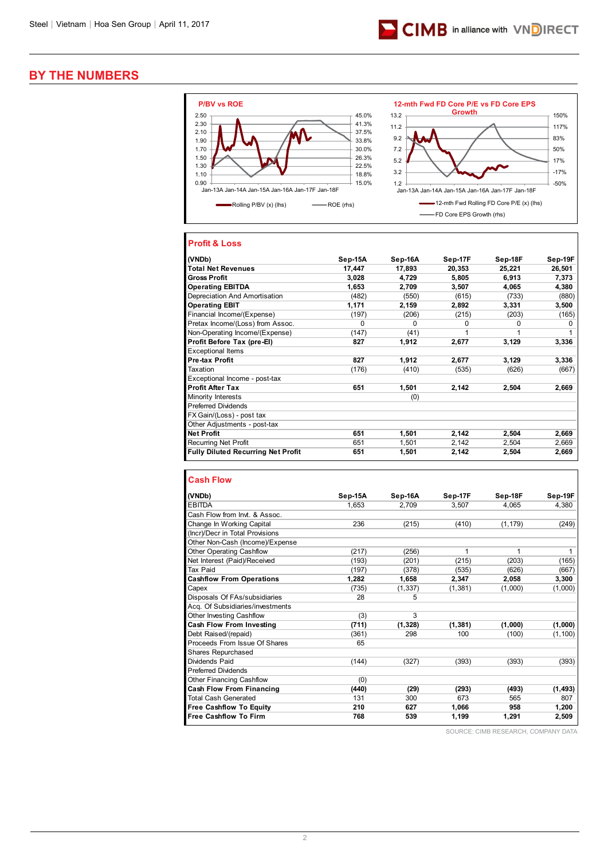

## **BY THE NUMBERS**



## **Profit & Loss**

| (VNDb)                                    | Sep-15A | Sep-16A | Sep-17F      | Sep-18F | Sep-19F |
|-------------------------------------------|---------|---------|--------------|---------|---------|
| <b>Total Net Revenues</b>                 | 17,447  | 17,893  | 20,353       | 25,221  | 26,501  |
| <b>Gross Profit</b>                       | 3,028   | 4,729   | 5,805        | 6,913   | 7,373   |
| <b>Operating EBITDA</b>                   | 1,653   | 2,709   | 3,507        | 4,065   | 4,380   |
| Depreciation And Amortisation             | (482)   | (550)   | (615)        | (733)   | (880)   |
| <b>Operating EBIT</b>                     | 1,171   | 2,159   | 2,892        | 3,331   | 3,500   |
| Financial Income/(Expense)                | (197)   | (206)   | (215)        | (203)   | (165)   |
| Pretax Income/(Loss) from Assoc.          | 0       | 0       | <sup>0</sup> | O       | O       |
| Non-Operating Income/(Expense)            | (147)   | (41)    |              |         |         |
| Profit Before Tax (pre-El)                | 827     | 1,912   | 2,677        | 3,129   | 3,336   |
| <b>Exceptional Items</b>                  |         |         |              |         |         |
| <b>Pre-tax Profit</b>                     | 827     | 1,912   | 2,677        | 3,129   | 3,336   |
| Taxation                                  | (176)   | (410)   | (535)        | (626)   | (667)   |
| Exceptional Income - post-tax             |         |         |              |         |         |
| <b>Profit After Tax</b>                   | 651     | 1,501   | 2,142        | 2,504   | 2,669   |
| <b>Minority Interests</b>                 |         | (0)     |              |         |         |
| <b>Preferred Dividends</b>                |         |         |              |         |         |
| FX Gain/(Loss) - post tax                 |         |         |              |         |         |
| Other Adjustments - post-tax              |         |         |              |         |         |
| <b>Net Profit</b>                         | 651     | 1,501   | 2,142        | 2,504   | 2,669   |
| <b>Recurring Net Profit</b>               | 651     | 1,501   | 2,142        | 2,504   | 2,669   |
| <b>Fully Diluted Recurring Net Profit</b> | 651     | 1,501   | 2,142        | 2,504   | 2,669   |

## **Cash Flow**

| (VNDb)                           | Sep-15A | Sep-16A  | Sep-17F  | Sep-18F  | Sep-19F  |
|----------------------------------|---------|----------|----------|----------|----------|
| <b>EBITDA</b>                    | 1.653   | 2.709    | 3.507    | 4.065    | 4,380    |
| Cash Flow from Invt. & Assoc.    |         |          |          |          |          |
| Change In Working Capital        | 236     | (215)    | (410)    | (1, 179) | (249)    |
| (Incr)/Decr in Total Provisions  |         |          |          |          |          |
| Other Non-Cash (Income)/Expense  |         |          |          |          |          |
| Other Operating Cashflow         | (217)   | (256)    | 1        | 1        | 1        |
| Net Interest (Paid)/Received     | (193)   | (201)    | (215)    | (203)    | (165)    |
| <b>Tax Paid</b>                  | (197)   | (378)    | (535)    | (626)    | (667)    |
| <b>Cashflow From Operations</b>  | 1,282   | 1,658    | 2.347    | 2,058    | 3,300    |
| Capex                            | (735)   | (1, 337) | (1,381)  | (1,000)  | (1,000)  |
| Disposals Of FAs/subsidiaries    | 28      | 5        |          |          |          |
| Acq. Of Subsidiaries/investments |         |          |          |          |          |
| Other Investing Cashflow         | (3)     | 3        |          |          |          |
| Cash Flow From Investing         | (711)   | (1, 328) | (1, 381) | (1,000)  | (1,000)  |
| Debt Raised/(repaid)             | (361)   | 298      | 100      | (100)    | (1, 100) |
| Proceeds From Issue Of Shares    | 65      |          |          |          |          |
| <b>Shares Repurchased</b>        |         |          |          |          |          |
| Dividends Paid                   | (144)   | (327)    | (393)    | (393)    | (393)    |
| <b>Preferred Dividends</b>       |         |          |          |          |          |
| Other Financing Cashflow         | (0)     |          |          |          |          |
| Cash Flow From Financing         | (440)   | (29)     | (293)    | (493)    | (1, 493) |
| <b>Total Cash Generated</b>      | 131     | 300      | 673      | 565      | 807      |
| <b>Free Cashflow To Equity</b>   | 210     | 627      | 1,066    | 958      | 1,200    |
| <b>Free Cashflow To Firm</b>     | 768     | 539      | 1,199    | 1,291    | 2,509    |

SOURCE: CIMB RESEARCH, COMPANY DATA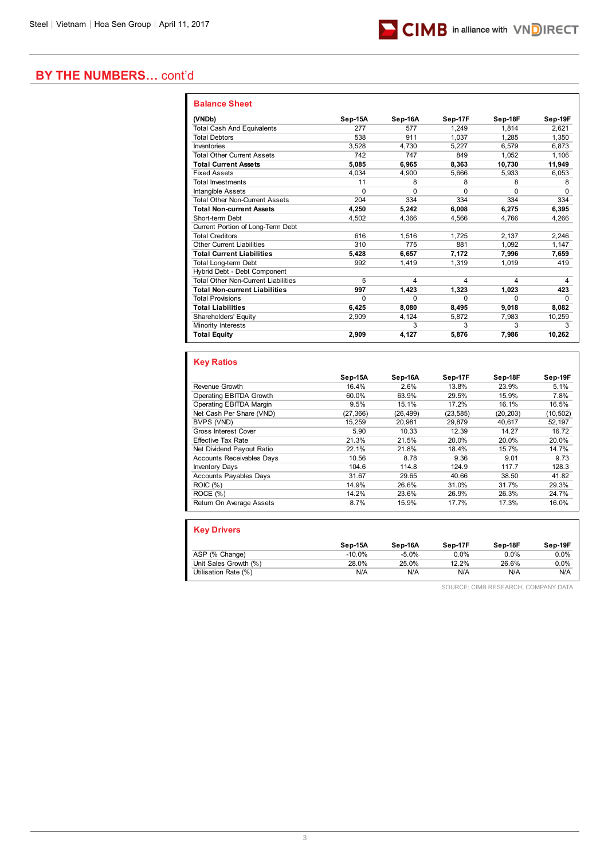## **BY THE NUMBERS…** cont'd

| <b>Balance Sheet</b>                       |          |          |          |          |         |
|--------------------------------------------|----------|----------|----------|----------|---------|
| (VNDb)                                     | Sep-15A  | Sep-16A  | Sep-17F  | Sep-18F  | Sep-19F |
| <b>Total Cash And Equivalents</b>          | 277      | 577      | 1.249    | 1.814    | 2.621   |
| <b>Total Debtors</b>                       | 538      | 911      | 1.037    | 1.285    | 1.350   |
| Inventories                                | 3.528    | 4.730    | 5.227    | 6.579    | 6.873   |
| <b>Total Other Current Assets</b>          | 742      | 747      | 849      | 1.052    | 1.106   |
| <b>Total Current Assets</b>                | 5,085    | 6,965    | 8,363    | 10,730   | 11,949  |
| <b>Fixed Assets</b>                        | 4.034    | 4.900    | 5.666    | 5.933    | 6.053   |
| <b>Total Investments</b>                   | 11       | 8        | 8        | 8        | 8       |
| <b>Intangible Assets</b>                   | $\Omega$ | $\Omega$ | $\Omega$ | $\Omega$ | 0       |
| <b>Total Other Non-Current Assets</b>      | 204      | 334      | 334      | 334      | 334     |
| <b>Total Non-current Assets</b>            | 4,250    | 5,242    | 6.008    | 6,275    | 6,395   |
| Short-term Debt                            | 4.502    | 4.366    | 4.566    | 4.766    | 4.266   |
| Current Portion of Long-Term Debt          |          |          |          |          |         |
| <b>Total Creditors</b>                     | 616      | 1.516    | 1.725    | 2.137    | 2.246   |
| Other Current Liabilities                  | 310      | 775      | 881      | 1.092    | 1.147   |
| <b>Total Current Liabilities</b>           | 5.428    | 6.657    | 7.172    | 7,996    | 7,659   |
| Total Long-term Debt                       | 992      | 1.419    | 1.319    | 1.019    | 419     |
| Hybrid Debt - Debt Component               |          |          |          |          |         |
| <b>Total Other Non-Current Liabilities</b> | 5        | 4        | 4        | 4        | 4       |
| <b>Total Non-current Liabilities</b>       | 997      | 1.423    | 1.323    | 1,023    | 423     |
| <b>Total Provisions</b>                    | 0        | O        | 0        | O        | 0       |
| <b>Total Liabilities</b>                   | 6.425    | 8.080    | 8.495    | 9.018    | 8.082   |
| Shareholders' Equity                       | 2,909    | 4,124    | 5.872    | 7,983    | 10,259  |
| Minority Interests                         |          | 3        | 3        | 3        | 3       |
| <b>Total Equity</b>                        | 2.909    | 4.127    | 5.876    | 7.986    | 10,262  |

#### **Key Ratios Sep-15A Sep-16A Sep-17F Sep-18F Sep-19F** Revenue Growth 16.4% 2.6% 13.8% 23.9% 5.1%<br>
Operating EBITDA Growth 60.0% 63.9% 29.5% 15.9% 7.8% Operating EBITDA Growth 60.0% 63.9% 29.5% 15.9% 7.8% Operating EBITDA Margin <br>
Net Cash Per Share (VND)  $(27,366)$   $(26,499)$   $(23,585)$   $(20,203)$ Net Cash Per Share (VND) (27,366) (26,499) (23,585) (20,203) (10,502) BVPS (VND) 15,259 20,981 29,879 40,617 52,197<br>Gross Interest Cover 5.90 10.33 12.39 14.27 16.72 Gross Interest Cover **5.90** 10.33 12.39 14.27 16.72<br>Effective Tax Rate 21.39 21.5% 20.0% 20.0% 20.0% Effective Tax Rate 20.0% 21.3% 21.5% 20.0% 20.0% 20.0% 20.0% 20.0% 20.0% 20.0% 20.0% 20.0% 20.0% 21.8% 21.8% 21.8% 21.8% 21.8% 21.8% 21.8% 21.8% 21.8% 21.8% 21.8% 21.8% 21.8% 21.8% 21.8% 21.8% 21.8% 21.8% 21.8% 21.8% 21.8% Net Dividend Payout Ratio 22.1% 21.8% 18.4% 15.7% 14.7% 14.7% 16.4% 15.7% 14.7% 14.7% 16.6 10.56 10.56 16.1% 1 Accounts Receivables Days **10.56** 8.78 9.36 9.01 9.73<br>
Inventory Days 104.6 114.8 124.9 117.7 128.3 Inventory Days 128.3<br>
Accounts Payables Days 104.6 114.8 124.9 117.7 128.3<br>
129.65 40.66 38.50 41.82 Accounts Payables Days<br>
Accounts Payables Days<br>
ACCOUNTS Payables Days<br>
20.67 29.68 31.0% 31.7% 29.3% ROIC (%) 14.9% 26.6% 31.0% 31.7% 29.3% ROCE (%) 14.2% 23.6% 26.9% 26.3% 24.7% Return On Average Assets **8.7%** 15.9% 17.7% 17.3% 16.0%

| <b>Key Drivers</b>    |          |         |         |         |         |
|-----------------------|----------|---------|---------|---------|---------|
|                       | Sep-15A  | Sep-16A | Sep-17F | Sep-18F | Sep-19F |
| ASP (% Change)        | $-10.0%$ | $-5.0%$ | $0.0\%$ | $0.0\%$ | $0.0\%$ |
| Unit Sales Growth (%) | 28.0%    | 25.0%   | 12.2%   | 26.6%   | $0.0\%$ |
| Utilisation Rate (%)  | N/A      | N/A     | N/A     | N/A     | N/A     |

SOURCE: CIMB RESEARCH, COMPANY DATA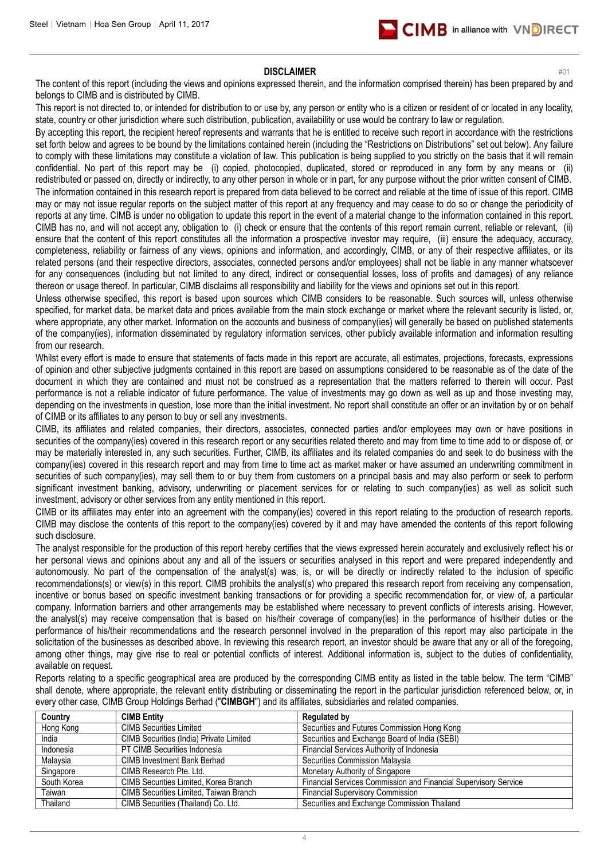

#### **DISCLAIMER** #01

The content of this report (including the views and opinions expressed therein, and the information comprised therein) has been prepared by and belongs to CIMB and is distributed by CIMB.

This report is not directed to, or intended for distribution to or use by, any person or entity who is a citizen or resident of or located in any locality, state, country or other jurisdiction where such distribution, publication, availability or use would be contrary to law or regulation.

By accepting this report, the recipient hereof represents and warrants that he is entitled to receive such report in accordance with the restrictions set forth below and agrees to be bound by the limitations contained herein (including the "Restrictions on Distributions" set out below). Any failure to comply with these limitations may constitute a violation of law. This publication is being supplied to you strictly on the basis that it will remain confidential. No part of this report may be (i) copied, photocopied, duplicated, stored or reproduced in any form by any means or (ii) redistributed or passed on, directly or indirectly, to any other person in whole or in part, for any purpose without the prior written consent of CIMB. The information contained in this research report is prepared from data believed to be correct and reliable at the time of issue of this report. CIMB may or may not issue regular reports on the subject matter of this report at any frequency and may cease to do so or change the periodicity of reports at any time. CIMB is under no obligation to update this report in the event of a material change to the information contained in this report. CIMB has no, and will not accept any, obligation to (i) check or ensure that the contents of this report remain current, reliable or relevant, (ii) ensure that the content of this report constitutes all the information a prospective investor may require, (iii) ensure the adequacy, accuracy, completeness, reliability or fairness of any views, opinions and information, and accordingly, CIMB, or any of their respective affiliates, or its related persons (and their respective directors, associates, connected persons and/or employees) shall not be liable in any manner whatsoever for any consequences (including but not limited to any direct, indirect or consequential losses, loss of profits and damages) of any reliance thereon or usage thereof. In particular, CIMB disclaims all responsibility and liability for the views and opinions set out in this report.

Unless otherwise specified, this report is based upon sources which CIMB considers to be reasonable. Such sources will, unless otherwise specified, for market data, be market data and prices available from the main stock exchange or market where the relevant security is listed, or, where appropriate, any other market. Information on the accounts and business of company(ies) will generally be based on published statements of the company(ies), information disseminated by regulatory information services, other publicly available information and information resulting from our research.

Whilst every effort is made to ensure that statements of facts made in this report are accurate, all estimates, projections, forecasts, expressions of opinion and other subjective judgments contained in this report are based on assumptions considered to be reasonable as of the date of the document in which they are contained and must not be construed as a representation that the matters referred to therein will occur. Past performance is not a reliable indicator of future performance. The value of investments may go down as well as up and those investing may, depending on the investments in question, lose more than the initial investment. No report shall constitute an offer or an invitation by or on behalf of CIMB or its affiliates to any person to buy or sell any investments.

CIMB, its affiliates and related companies, their directors, associates, connected parties and/or employees may own or have positions in securities of the company(ies) covered in this research report or any securities related thereto and may from time to time add to or dispose of, or may be materially interested in, any such securities. Further, CIMB, its affiliates and its related companies do and seek to do business with the company(ies) covered in this research report and may from time to time act as market maker or have assumed an underwriting commitment in securities of such company(ies), may sell them to or buy them from customers on a principal basis and may also perform or seek to perform significant investment banking, advisory, underwriting or placement services for or relating to such company(ies) as well as solicit such investment, advisory or other services from any entity mentioned in this report.

CIMB or its affiliates may enter into an agreement with the company(ies) covered in this report relating to the production of research reports. CIMB may disclose the contents of this report to the company(ies) covered by it and may have amended the contents of this report following such disclosure.

The analyst responsible for the production of this report hereby certifies that the views expressed herein accurately and exclusively reflect his or her personal views and opinions about any and all of the issuers or securities analysed in this report and were prepared independently and autonomously. No part of the compensation of the analyst(s) was, is, or will be directly or indirectly related to the inclusion of specific recommendations(s) or view(s) in this report. CIMB prohibits the analyst(s) who prepared this research report from receiving any compensation, incentive or bonus based on specific investment banking transactions or for providing a specific recommendation for, or view of, a particular company. Information barriers and other arrangements may be established where necessary to prevent conflicts of interests arising. However, the analyst(s) may receive compensation that is based on his/their coverage of company(ies) in the performance of his/their duties or the performance of his/their recommendations and the research personnel involved in the preparation of this report may also participate in the solicitation of the businesses as described above. In reviewing this research report, an investor should be aware that any or all of the foregoing, among other things, may give rise to real or potential conflicts of interest. Additional information is, subject to the duties of confidentiality, available on request.

Reports relating to a specific geographical area are produced by the corresponding CIMB entity as listed in the table below. The term "CIMB" shall denote, where appropriate, the relevant entity distributing or disseminating the report in the particular jurisdiction referenced below, or, in every other case, CIMB Group Holdings Berhad ("**CIMBGH**") and its affiliates, subsidiaries and related companies.

| Country     | <b>CIMB Entity</b>                            | <b>Regulated by</b>                                             |
|-------------|-----------------------------------------------|-----------------------------------------------------------------|
| Hong Kong   | <b>CIMB Securities Limited</b>                | Securities and Futures Commission Hong Kong                     |
| India       | CIMB Securities (India) Private Limited       | Securities and Exchange Board of India (SEBI)                   |
| Indonesia   | PT CIMB Securities Indonesia                  | Financial Services Authority of Indonesia                       |
| Malaysia    | CIMB Investment Bank Berhad                   | Securities Commission Malaysia                                  |
| Singapore   | CIMB Research Pte. Ltd.                       | Monetary Authority of Singapore                                 |
| South Korea | CIMB Securities Limited, Korea Branch         | Financial Services Commission and Financial Supervisory Service |
| Taiwan      | <b>CIMB Securities Limited, Taiwan Branch</b> | <b>Financial Supervisory Commission</b>                         |
| Thailand    | CIMB Securities (Thailand) Co. Ltd.           | Securities and Exchange Commission Thailand                     |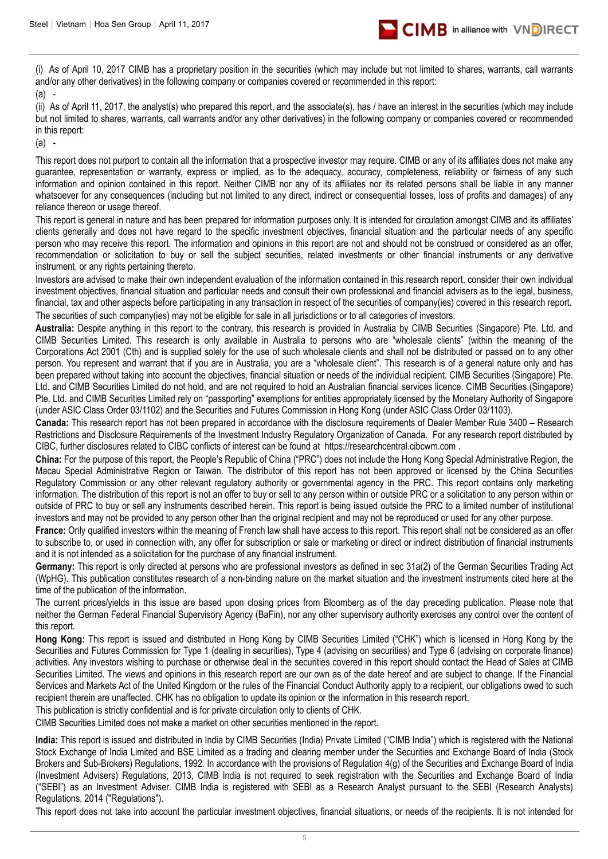

(i) As of April 10, 2017 CIMB has a proprietary position in the securities (which may include but not limited to shares, warrants, call warrants and/or any other derivatives) in the following company or companies covered or recommended in this report:

(a) -

(ii) As of April 11, 2017, the analyst(s) who prepared this report, and the associate(s), has / have an interest in the securities (which may include but not limited to shares, warrants, call warrants and/or any other derivatives) in the following company or companies covered or recommended in this report:

(a) -

This report does not purport to contain all the information that a prospective investor may require. CIMB or any of its affiliates does not make any guarantee, representation or warranty, express or implied, as to the adequacy, accuracy, completeness, reliability or fairness of any such information and opinion contained in this report. Neither CIMB nor any of its affiliates nor its related persons shall be liable in any manner whatsoever for any consequences (including but not limited to any direct, indirect or consequential losses, loss of profits and damages) of any reliance thereon or usage thereof.

This report is general in nature and has been prepared for information purposes only. It is intended for circulation amongst CIMB and its affiliates' clients generally and does not have regard to the specific investment objectives, financial situation and the particular needs of any specific person who may receive this report. The information and opinions in this report are not and should not be construed or considered as an offer, recommendation or solicitation to buy or sell the subject securities, related investments or other financial instruments or any derivative instrument, or any rights pertaining thereto.

Investors are advised to make their own independent evaluation of the information contained in this research report, consider their own individual investment objectives, financial situation and particular needs and consult their own professional and financial advisers as to the legal, business, financial, tax and other aspects before participating in any transaction in respect of the securities of company(ies) covered in this research report. The securities of such company(ies) may not be eligible for sale in all jurisdictions or to all categories of investors.

**Australia:** Despite anything in this report to the contrary, this research is provided in Australia by CIMB Securities (Singapore) Pte. Ltd. and CIMB Securities Limited. This research is only available in Australia to persons who are "wholesale clients" (within the meaning of the Corporations Act 2001 (Cth) and is supplied solely for the use of such wholesale clients and shall not be distributed or passed on to any other person. You represent and warrant that if you are in Australia, you are a "wholesale client". This research is of a general nature only and has been prepared without taking into account the objectives, financial situation or needs of the individual recipient. CIMB Securities (Singapore) Pte. Ltd. and CIMB Securities Limited do not hold, and are not required to hold an Australian financial services licence. CIMB Securities (Singapore) Pte. Ltd. and CIMB Securities Limited rely on "passporting" exemptions for entities appropriately licensed by the Monetary Authority of Singapore (under ASIC Class Order 03/1102) and the Securities and Futures Commission in Hong Kong (under ASIC Class Order 03/1103).

**Canada:** This research report has not been prepared in accordance with the disclosure requirements of Dealer Member Rule 3400 – Research Restrictions and Disclosure Requirements of the Investment Industry Regulatory Organization of Canada. For any research report distributed by CIBC, further disclosures related to CIBC conflicts of interest can be found at https://researchcentral.cibcwm.com .

**China:** For the purpose of this report, the People's Republic of China ("PRC") does not include the Hong Kong Special Administrative Region, the Macau Special Administrative Region or Taiwan. The distributor of this report has not been approved or licensed by the China Securities Regulatory Commission or any other relevant regulatory authority or governmental agency in the PRC. This report contains only marketing information. The distribution of this report is not an offer to buy or sell to any person within or outside PRC or a solicitation to any person within or outside of PRC to buy or sell any instruments described herein. This report is being issued outside the PRC to a limited number of institutional investors and may not be provided to any person other than the original recipient and may not be reproduced or used for any other purpose.

**France:** Only qualified investors within the meaning of French law shall have access to this report. This report shall not be considered as an offer to subscribe to, or used in connection with, any offer for subscription or sale or marketing or direct or indirect distribution of financial instruments and it is not intended as a solicitation for the purchase of any financial instrument.

**Germany:** This report is only directed at persons who are professional investors as defined in sec 31a(2) of the German Securities Trading Act (WpHG). This publication constitutes research of a non-binding nature on the market situation and the investment instruments cited here at the time of the publication of the information.

The current prices/yields in this issue are based upon closing prices from Bloomberg as of the day preceding publication. Please note that neither the German Federal Financial Supervisory Agency (BaFin), nor any other supervisory authority exercises any control over the content of this report.

**Hong Kong:** This report is issued and distributed in Hong Kong by CIMB Securities Limited ("CHK") which is licensed in Hong Kong by the Securities and Futures Commission for Type 1 (dealing in securities), Type 4 (advising on securities) and Type 6 (advising on corporate finance) activities. Any investors wishing to purchase or otherwise deal in the securities covered in this report should contact the Head of Sales at CIMB Securities Limited. The views and opinions in this research report are our own as of the date hereof and are subject to change. If the Financial Services and Markets Act of the United Kingdom or the rules of the Financial Conduct Authority apply to a recipient, our obligations owed to such recipient therein are unaffected. CHK has no obligation to update its opinion or the information in this research report.

This publication is strictly confidential and is for private circulation only to clients of CHK.

CIMB Securities Limited does not make a market on other securities mentioned in the report.

**India:** This report is issued and distributed in India by CIMB Securities (India) Private Limited ("CIMB India") which is registered with the National Stock Exchange of India Limited and BSE Limited as a trading and clearing member under the Securities and Exchange Board of India (Stock Brokers and Sub-Brokers) Regulations, 1992. In accordance with the provisions of Regulation 4(g) of the Securities and Exchange Board of India (Investment Advisers) Regulations, 2013, CIMB India is not required to seek registration with the Securities and Exchange Board of India ("SEBI") as an Investment Adviser. CIMB India is registered with SEBI as a Research Analyst pursuant to the SEBI (Research Analysts) Regulations, 2014 ("Regulations").

This report does not take into account the particular investment objectives, financial situations, or needs of the recipients. It is not intended for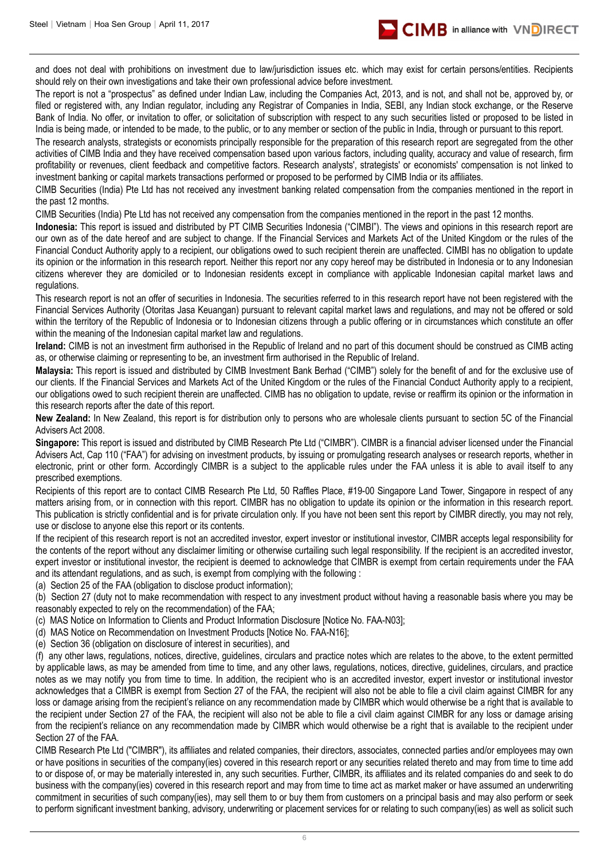

and does not deal with prohibitions on investment due to law/jurisdiction issues etc. which may exist for certain persons/entities. Recipients should rely on their own investigations and take their own professional advice before investment.

The report is not a "prospectus" as defined under Indian Law, including the Companies Act, 2013, and is not, and shall not be, approved by, or filed or registered with, any Indian regulator, including any Registrar of Companies in India, SEBI, any Indian stock exchange, or the Reserve Bank of India. No offer, or invitation to offer, or solicitation of subscription with respect to any such securities listed or proposed to be listed in India is being made, or intended to be made, to the public, or to any member or section of the public in India, through or pursuant to this report.

The research analysts, strategists or economists principally responsible for the preparation of this research report are segregated from the other activities of CIMB India and they have received compensation based upon various factors, including quality, accuracy and value of research, firm profitability or revenues, client feedback and competitive factors. Research analysts', strategists' or economists' compensation is not linked to investment banking or capital markets transactions performed or proposed to be performed by CIMB India or its affiliates.

CIMB Securities (India) Pte Ltd has not received any investment banking related compensation from the companies mentioned in the report in the past 12 months.

CIMB Securities (India) Pte Ltd has not received any compensation from the companies mentioned in the report in the past 12 months.

**Indonesia:** This report is issued and distributed by PT CIMB Securities Indonesia ("CIMBI"). The views and opinions in this research report are our own as of the date hereof and are subject to change. If the Financial Services and Markets Act of the United Kingdom or the rules of the Financial Conduct Authority apply to a recipient, our obligations owed to such recipient therein are unaffected. CIMBI has no obligation to update its opinion or the information in this research report. Neither this report nor any copy hereof may be distributed in Indonesia or to any Indonesian citizens wherever they are domiciled or to Indonesian residents except in compliance with applicable Indonesian capital market laws and regulations.

This research report is not an offer of securities in Indonesia. The securities referred to in this research report have not been registered with the Financial Services Authority (Otoritas Jasa Keuangan) pursuant to relevant capital market laws and regulations, and may not be offered or sold within the territory of the Republic of Indonesia or to Indonesian citizens through a public offering or in circumstances which constitute an offer within the meaning of the Indonesian capital market law and regulations.

**Ireland:** CIMB is not an investment firm authorised in the Republic of Ireland and no part of this document should be construed as CIMB acting as, or otherwise claiming or representing to be, an investment firm authorised in the Republic of Ireland.

**Malaysia:** This report is issued and distributed by CIMB Investment Bank Berhad ("CIMB") solely for the benefit of and for the exclusive use of our clients. If the Financial Services and Markets Act of the United Kingdom or the rules of the Financial Conduct Authority apply to a recipient, our obligations owed to such recipient therein are unaffected. CIMB has no obligation to update, revise or reaffirm its opinion or the information in this research reports after the date of this report.

**New Zealand:** In New Zealand, this report is for distribution only to persons who are wholesale clients pursuant to section 5C of the Financial Advisers Act 2008.

**Singapore:** This report is issued and distributed by CIMB Research Pte Ltd ("CIMBR"). CIMBR is a financial adviser licensed under the Financial Advisers Act, Cap 110 ("FAA") for advising on investment products, by issuing or promulgating research analyses or research reports, whether in electronic, print or other form. Accordingly CIMBR is a subject to the applicable rules under the FAA unless it is able to avail itself to any prescribed exemptions.

Recipients of this report are to contact CIMB Research Pte Ltd, 50 Raffles Place, #19-00 Singapore Land Tower, Singapore in respect of any matters arising from, or in connection with this report. CIMBR has no obligation to update its opinion or the information in this research report. This publication is strictly confidential and is for private circulation only. If you have not been sent this report by CIMBR directly, you may not rely, use or disclose to anyone else this report or its contents.

If the recipient of this research report is not an accredited investor, expert investor or institutional investor, CIMBR accepts legal responsibility for the contents of the report without any disclaimer limiting or otherwise curtailing such legal responsibility. If the recipient is an accredited investor, expert investor or institutional investor, the recipient is deemed to acknowledge that CIMBR is exempt from certain requirements under the FAA and its attendant regulations, and as such, is exempt from complying with the following :

(a) Section 25 of the FAA (obligation to disclose product information);

(b) Section 27 (duty not to make recommendation with respect to any investment product without having a reasonable basis where you may be reasonably expected to rely on the recommendation) of the FAA;

- (c) MAS Notice on Information to Clients and Product Information Disclosure [Notice No. FAA-N03];
- (d) MAS Notice on Recommendation on Investment Products [Notice No. FAA-N16];
- (e) Section 36 (obligation on disclosure of interest in securities), and

(f) any other laws, regulations, notices, directive, guidelines, circulars and practice notes which are relates to the above, to the extent permitted by applicable laws, as may be amended from time to time, and any other laws, regulations, notices, directive, guidelines, circulars, and practice notes as we may notify you from time to time. In addition, the recipient who is an accredited investor, expert investor or institutional investor acknowledges that a CIMBR is exempt from Section 27 of the FAA, the recipient will also not be able to file a civil claim against CIMBR for any loss or damage arising from the recipient's reliance on any recommendation made by CIMBR which would otherwise be a right that is available to the recipient under Section 27 of the FAA, the recipient will also not be able to file a civil claim against CIMBR for any loss or damage arising from the recipient's reliance on any recommendation made by CIMBR which would otherwise be a right that is available to the recipient under Section 27 of the FAA.

CIMB Research Pte Ltd ("CIMBR"), its affiliates and related companies, their directors, associates, connected parties and/or employees may own or have positions in securities of the company(ies) covered in this research report or any securities related thereto and may from time to time add to or dispose of, or may be materially interested in, any such securities. Further, CIMBR, its affiliates and its related companies do and seek to do business with the company(ies) covered in this research report and may from time to time act as market maker or have assumed an underwriting commitment in securities of such company(ies), may sell them to or buy them from customers on a principal basis and may also perform or seek to perform significant investment banking, advisory, underwriting or placement services for or relating to such company(ies) as well as solicit such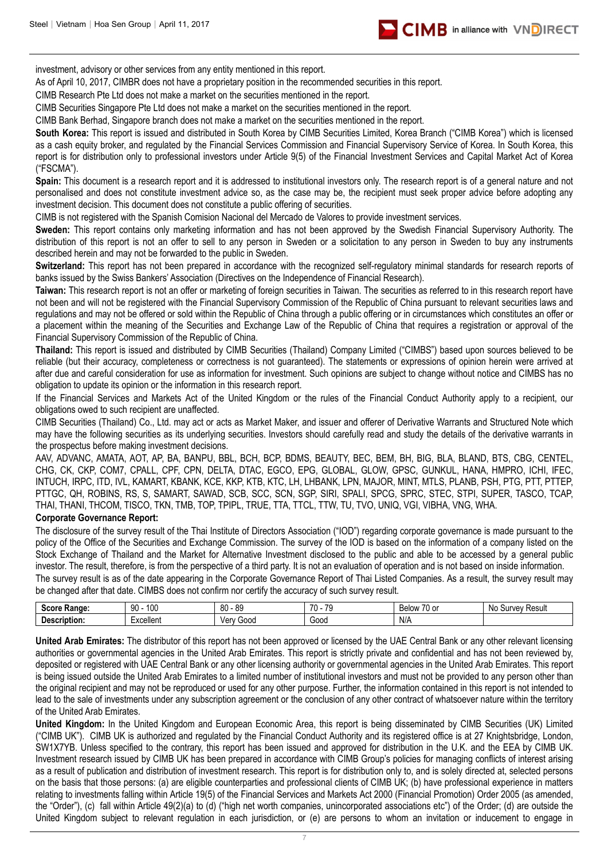

investment, advisory or other services from any entity mentioned in this report.

As of April 10, 2017, CIMBR does not have a proprietary position in the recommended securities in this report.

CIMB Research Pte Ltd does not make a market on the securities mentioned in the report.

CIMB Securities Singapore Pte Ltd does not make a market on the securities mentioned in the report.

CIMB Bank Berhad, Singapore branch does not make a market on the securities mentioned in the report.

**South Korea:** This report is issued and distributed in South Korea by CIMB Securities Limited, Korea Branch ("CIMB Korea") which is licensed as a cash equity broker, and regulated by the Financial Services Commission and Financial Supervisory Service of Korea. In South Korea, this report is for distribution only to professional investors under Article 9(5) of the Financial Investment Services and Capital Market Act of Korea ("FSCMA").

**Spain:** This document is a research report and it is addressed to institutional investors only. The research report is of a general nature and not personalised and does not constitute investment advice so, as the case may be, the recipient must seek proper advice before adopting any investment decision. This document does not constitute a public offering of securities.

CIMB is not registered with the Spanish Comision Nacional del Mercado de Valores to provide investment services.

**Sweden:** This report contains only marketing information and has not been approved by the Swedish Financial Supervisory Authority. The distribution of this report is not an offer to sell to any person in Sweden or a solicitation to any person in Sweden to buy any instruments described herein and may not be forwarded to the public in Sweden.

**Switzerland:** This report has not been prepared in accordance with the recognized self-regulatory minimal standards for research reports of banks issued by the Swiss Bankers' Association (Directives on the Independence of Financial Research).

Taiwan: This research report is not an offer or marketing of foreign securities in Taiwan. The securities as referred to in this research report have not been and will not be registered with the Financial Supervisory Commission of the Republic of China pursuant to relevant securities laws and regulations and may not be offered or sold within the Republic of China through a public offering or in circumstances which constitutes an offer or a placement within the meaning of the Securities and Exchange Law of the Republic of China that requires a registration or approval of the Financial Supervisory Commission of the Republic of China.

**Thailand:** This report is issued and distributed by CIMB Securities (Thailand) Company Limited ("CIMBS") based upon sources believed to be reliable (but their accuracy, completeness or correctness is not guaranteed). The statements or expressions of opinion herein were arrived at after due and careful consideration for use as information for investment. Such opinions are subject to change without notice and CIMBS has no obligation to update its opinion or the information in this research report.

If the Financial Services and Markets Act of the United Kingdom or the rules of the Financial Conduct Authority apply to a recipient, our obligations owed to such recipient are unaffected.

CIMB Securities (Thailand) Co., Ltd. may act or acts as Market Maker, and issuer and offerer of Derivative Warrants and Structured Note which may have the following securities as its underlying securities. Investors should carefully read and study the details of the derivative warrants in the prospectus before making investment decisions.

AAV, ADVANC, AMATA, AOT, AP, BA, BANPU, BBL, BCH, BCP, BDMS, BEAUTY, BEC, BEM, BH, BIG, BLA, BLAND, BTS, CBG, CENTEL, CHG, CK, CKP, COM7, CPALL, CPF, CPN, DELTA, DTAC, EGCO, EPG, GLOBAL, GLOW, GPSC, GUNKUL, HANA, HMPRO, ICHI, IFEC, INTUCH, IRPC, ITD, IVL, KAMART, KBANK, KCE, KKP, KTB, KTC, LH, LHBANK, LPN, MAJOR, MINT, MTLS, PLANB, PSH, PTG, PTT, PTTEP, PTTGC, QH, ROBINS, RS, S, SAMART, SAWAD, SCB, SCC, SCN, SGP, SIRI, SPALI, SPCG, SPRC, STEC, STPI, SUPER, TASCO, TCAP, THAI, THANI, THCOM, TISCO, TKN, TMB, TOP, TPIPL, TRUE, TTA, TTCL, TTW, TU, TVO, UNIQ, VGI, VIBHA, VNG, WHA.

## **Corporate Governance Report:**

The disclosure of the survey result of the Thai Institute of Directors Association ("IOD") regarding corporate governance is made pursuant to the policy of the Office of the Securities and Exchange Commission. The survey of the IOD is based on the information of a company listed on the Stock Exchange of Thailand and the Market for Alternative Investment disclosed to the public and able to be accessed by a general public investor. The result, therefore, is from the perspective of a third party. It is not an evaluation of operation and is not based on inside information.

The survey result is as of the date appearing in the Corporate Governance Report of Thai Listed Companies. As a result, the survey result may be changed after that date. CIMBS does not confirm nor certify the accuracy of such survey result.

| Score<br>,,,,,                  | 100<br>ഹ<br>.<br>JU | 80<br><b>RC</b><br>ັບ | 70<br>--<br>. .<br>. . | $\sim$<br><b>HAIC</b><br>⊸uUw<br>.<br>u | ∵Resu.<br>SULVE'<br>N0<br>,,, |
|---------------------------------|---------------------|-----------------------|------------------------|-----------------------------------------|-------------------------------|
| <br>- - - - - - - - -<br>IDUON. | xcellent:           | 000c<br>ver           | Good                   | $\mathbf{A}$<br>N/A                     |                               |

**United Arab Emirates:** The distributor of this report has not been approved or licensed by the UAE Central Bank or any other relevant licensing authorities or governmental agencies in the United Arab Emirates. This report is strictly private and confidential and has not been reviewed by, deposited or registered with UAE Central Bank or any other licensing authority or governmental agencies in the United Arab Emirates. This report is being issued outside the United Arab Emirates to a limited number of institutional investors and must not be provided to any person other than the original recipient and may not be reproduced or used for any other purpose. Further, the information contained in this report is not intended to lead to the sale of investments under any subscription agreement or the conclusion of any other contract of whatsoever nature within the territory of the United Arab Emirates.

**United Kingdom:** In the United Kingdom and European Economic Area, this report is being disseminated by CIMB Securities (UK) Limited ("CIMB UK"). CIMB UK is authorized and regulated by the Financial Conduct Authority and its registered office is at 27 Knightsbridge, London, SW1X7YB. Unless specified to the contrary, this report has been issued and approved for distribution in the U.K. and the EEA by CIMB UK. Investment research issued by CIMB UK has been prepared in accordance with CIMB Group's policies for managing conflicts of interest arising as a result of publication and distribution of investment research. This report is for distribution only to, and is solely directed at, selected persons on the basis that those persons: (a) are eligible counterparties and professional clients of CIMB UK; (b) have professional experience in matters relating to investments falling within Article 19(5) of the Financial Services and Markets Act 2000 (Financial Promotion) Order 2005 (as amended, the "Order"), (c) fall within Article 49(2)(a) to (d) ("high net worth companies, unincorporated associations etc") of the Order; (d) are outside the United Kingdom subject to relevant regulation in each jurisdiction, or (e) are persons to whom an invitation or inducement to engage in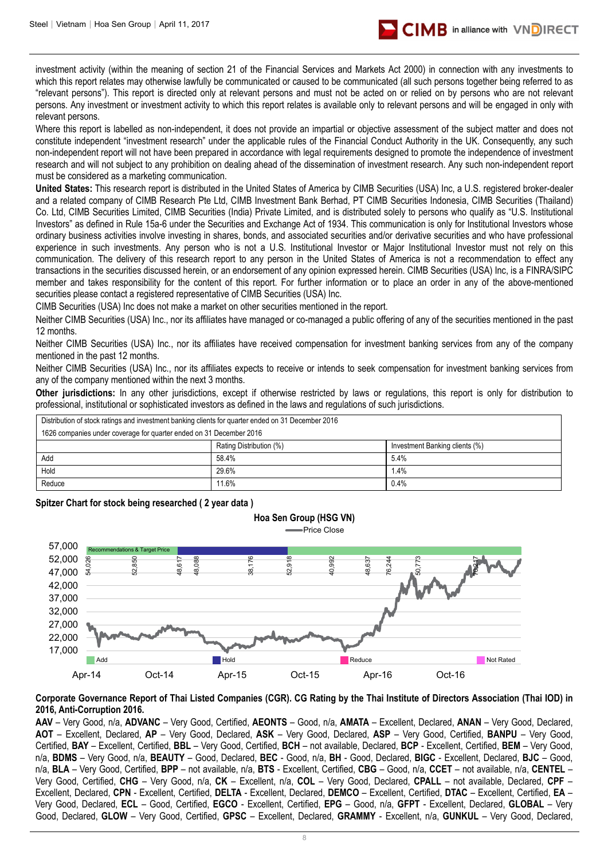

investment activity (within the meaning of section 21 of the Financial Services and Markets Act 2000) in connection with any investments to which this report relates may otherwise lawfully be communicated or caused to be communicated (all such persons together being referred to as "relevant persons"). This report is directed only at relevant persons and must not be acted on or relied on by persons who are not relevant persons. Any investment or investment activity to which this report relates is available only to relevant persons and will be engaged in only with relevant persons.

Where this report is labelled as non-independent, it does not provide an impartial or objective assessment of the subject matter and does not constitute independent "investment research" under the applicable rules of the Financial Conduct Authority in the UK. Consequently, any such non-independent report will not have been prepared in accordance with legal requirements designed to promote the independence of investment research and will not subject to any prohibition on dealing ahead of the dissemination of investment research. Any such non-independent report must be considered as a marketing communication.

**United States:** This research report is distributed in the United States of America by CIMB Securities (USA) Inc, a U.S. registered broker-dealer and a related company of CIMB Research Pte Ltd, CIMB Investment Bank Berhad, PT CIMB Securities Indonesia, CIMB Securities (Thailand) Co. Ltd, CIMB Securities Limited, CIMB Securities (India) Private Limited, and is distributed solely to persons who qualify as "U.S. Institutional Investors" as defined in Rule 15a-6 under the Securities and Exchange Act of 1934. This communication is only for Institutional Investors whose ordinary business activities involve investing in shares, bonds, and associated securities and/or derivative securities and who have professional experience in such investments. Any person who is not a U.S. Institutional Investor or Major Institutional Investor must not rely on this communication. The delivery of this research report to any person in the United States of America is not a recommendation to effect any transactions in the securities discussed herein, or an endorsement of any opinion expressed herein. CIMB Securities (USA) Inc, is a FINRA/SIPC member and takes responsibility for the content of this report. For further information or to place an order in any of the above-mentioned securities please contact a registered representative of CIMB Securities (USA) Inc.

CIMB Securities (USA) Inc does not make a market on other securities mentioned in the report.

Neither CIMB Securities (USA) Inc., nor its affiliates have managed or co-managed a public offering of any of the securities mentioned in the past 12 months.

Neither CIMB Securities (USA) Inc., nor its affiliates have received compensation for investment banking services from any of the company mentioned in the past 12 months.

Neither CIMB Securities (USA) Inc., nor its affiliates expects to receive or intends to seek compensation for investment banking services from any of the company mentioned within the next 3 months.

**Other jurisdictions:** In any other jurisdictions, except if otherwise restricted by laws or regulations, this report is only for distribution to professional, institutional or sophisticated investors as defined in the laws and regulations of such jurisdictions.

| Distribution of stock ratings and investment banking clients for quarter ended on 31 December 2016 |                         |                                |  |  |
|----------------------------------------------------------------------------------------------------|-------------------------|--------------------------------|--|--|
| 1626 companies under coverage for quarter ended on 31 December 2016                                |                         |                                |  |  |
|                                                                                                    | Rating Distribution (%) | Investment Banking clients (%) |  |  |
| Add                                                                                                | 58.4%                   | 5.4%                           |  |  |
| Hold                                                                                               | 29.6%                   | 1.4%                           |  |  |
| Reduce                                                                                             | 11.6%                   | 0.4%                           |  |  |

**Spitzer Chart for stock being researched ( 2 year data )** 



**Corporate Governance Report of Thai Listed Companies (CGR). CG Rating by the Thai Institute of Directors Association (Thai IOD) in 2016, Anti-Corruption 2016.**

**AAV** – Very Good, n/a, **ADVANC** – Very Good, Certified, **AEONTS** – Good, n/a, **AMATA** – Excellent, Declared, **ANAN** – Very Good, Declared, **AOT** – Excellent, Declared, **AP** – Very Good, Declared, **ASK** – Very Good, Declared, **ASP** – Very Good, Certified, **BANPU** – Very Good, Certified, **BAY** – Excellent, Certified, **BBL** – Very Good, Certified, **BCH** – not available, Declared, **BCP** - Excellent, Certified, **BEM** – Very Good, n/a, **BDMS** – Very Good, n/a, **BEAUTY** – Good, Declared, **BEC** - Good, n/a, **BH** - Good, Declared, **BIGC** - Excellent, Declared, **BJC** – Good, n/a, **BLA** – Very Good, Certified, **BPP** – not available, n/a, **BTS** - Excellent, Certified, **CBG** – Good, n/a, **CCET** – not available, n/a, **CENTEL** – Very Good, Certified, **CHG** – Very Good, n/a, **CK** – Excellent, n/a, **COL** – Very Good, Declared, **CPALL** – not available, Declared, **CPF** – Excellent, Declared, **CPN** - Excellent, Certified, **DELTA** - Excellent, Declared, **DEMCO** – Excellent, Certified, **DTAC** – Excellent, Certified, **EA** – Very Good, Declared, **ECL** – Good, Certified, **EGCO** - Excellent, Certified, **EPG** – Good, n/a, **GFPT** - Excellent, Declared, **GLOBAL** – Very Good, Declared, **GLOW** – Very Good, Certified, **GPSC** – Excellent, Declared, **GRAMMY** - Excellent, n/a, **GUNKUL** – Very Good, Declared,